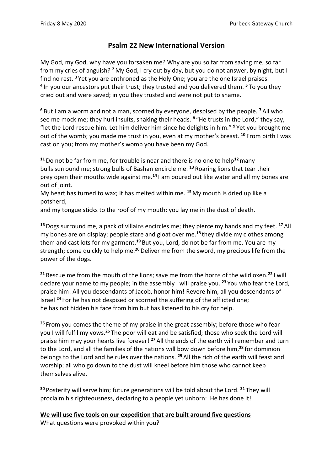## **Psalm 22 New International Version**

My God, my God, why have you forsaken me? Why are you so far from saving me, so far from my cries of anguish? **<sup>2</sup>** My God, I cry out by day, but you do not answer, by night, but I find no rest. **<sup>3</sup>** Yet you are enthroned as the Holy One; you are the one Israel praises. **4** In you our ancestors put their trust; they trusted and you delivered them. **<sup>5</sup>** To you they cried out and were saved; in you they trusted and were not put to shame.

**<sup>6</sup>** But I am a worm and not a man, scorned by everyone, despised by the people. **<sup>7</sup>** All who see me mock me; they hurl insults, shaking their heads. **<sup>8</sup>** "He trusts in the Lord," they say, "let the Lord rescue him. Let him deliver him since he delights in him." **<sup>9</sup>** Yet you brought me out of the womb; you made me trust in you, even at my mother's breast. **<sup>10</sup>** From birth I was cast on you; from my mother's womb you have been my God.

**<sup>11</sup>**Do not be far from me, for trouble is near and there is no one to help**<sup>12</sup>**many bulls surround me; strong bulls of Bashan encircle me. **<sup>13</sup>** Roaring lions that tear their prey open their mouths wide against me.**<sup>14</sup>** I am poured out like water and all my bones are out of joint.

My heart has turned to wax; it has melted within me. **<sup>15</sup>**My mouth is dried up like a potsherd,

and my tongue sticks to the roof of my mouth; you lay me in the dust of death.

**<sup>16</sup>**Dogs surround me, a pack of villains encircles me; they pierce my hands and my feet. **<sup>17</sup>** All my bones are on display; people stare and gloat over me.**<sup>18</sup>** they divide my clothes among them and cast lots for my garment.**<sup>19</sup>** But you, Lord, do not be far from me. You are my strength; come quickly to help me.**<sup>20</sup>**Deliver me from the sword, my precious life from the power of the dogs.

**<sup>21</sup>** Rescue me from the mouth of the lions; save me from the horns of the wild oxen.**<sup>22</sup>** I will declare your name to my people; in the assembly I will praise you. **<sup>23</sup>** You who fear the Lord, praise him! All you descendants of Jacob, honor him! Revere him, all you descendants of Israel **<sup>24</sup>** For he has not despised or scorned the suffering of the afflicted one; he has not hidden his face from him but has listened to his cry for help.

**<sup>25</sup>** From you comes the theme of my praise in the great assembly; before those who fear you I will fulfil my vows.**<sup>26</sup>** The poor will eat and be satisfied; those who seek the Lord will praise him may your hearts live forever! **<sup>27</sup>** All the ends of the earth will remember and turn to the Lord, and all the families of the nations will bow down before him,**<sup>28</sup>** for dominion belongs to the Lord and he rules over the nations. **<sup>29</sup>** All the rich of the earth will feast and worship; all who go down to the dust will kneel before him those who cannot keep themselves alive.

**<sup>30</sup>** Posterity will serve him; future generations will be told about the Lord. **<sup>31</sup>** They will proclaim his righteousness, declaring to a people yet unborn: He has done it!

**We will use five tools on our expedition that are built around five questions**

What questions were provoked within you?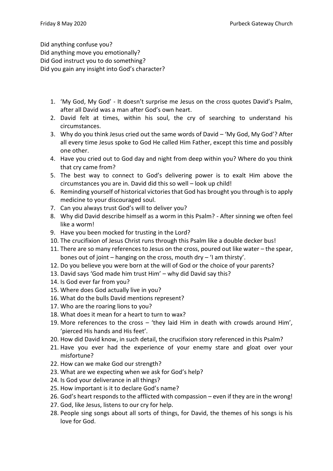Did anything confuse you? Did anything move you emotionally? Did God instruct you to do something? Did you gain any insight into God's character?

- 1. 'My God, My God' It doesn't surprise me Jesus on the cross quotes David's Psalm, after all David was a man after God's own heart.
- 2. David felt at times, within his soul, the cry of searching to understand his circumstances.
- 3. Why do you think Jesus cried out the same words of David 'My God, My God'? After all every time Jesus spoke to God He called Him Father, except this time and possibly one other.
- 4. Have you cried out to God day and night from deep within you? Where do you think that cry came from?
- 5. The best way to connect to God's delivering power is to exalt Him above the circumstances you are in. David did this so well – look up child!
- 6. Reminding yourself of historical victories that God has brought you through is to apply medicine to your discouraged soul.
- 7. Can you always trust God's will to deliver you?
- 8. Why did David describe himself as a worm in this Psalm? After sinning we often feel like a worm!
- 9. Have you been mocked for trusting in the Lord?
- 10. The crucifixion of Jesus Christ runs through this Psalm like a double decker bus!
- 11. There are so many references to Jesus on the cross, poured out like water the spear, bones out of joint – hanging on the cross, mouth dry – 'I am thirsty'.
- 12. Do you believe you were born at the will of God or the choice of your parents?
- 13. David says 'God made him trust Him' why did David say this?
- 14. Is God ever far from you?
- 15. Where does God actually live in you?
- 16. What do the bulls David mentions represent?
- 17. Who are the roaring lions to you?
- 18. What does it mean for a heart to turn to wax?
- 19. More references to the cross 'they laid Him in death with crowds around Him', 'pierced His hands and His feet'.
- 20. How did David know, in such detail, the crucifixion story referenced in this Psalm?
- 21. Have you ever had the experience of your enemy stare and gloat over your misfortune?
- 22. How can we make God our strength?
- 23. What are we expecting when we ask for God's help?
- 24. Is God your deliverance in all things?
- 25. How important is it to declare God's name?
- 26. God's heart responds to the afflicted with compassion even if they are in the wrong!
- 27. God, like Jesus, listens to our cry for help.
- 28. People sing songs about all sorts of things, for David, the themes of his songs is his love for God.